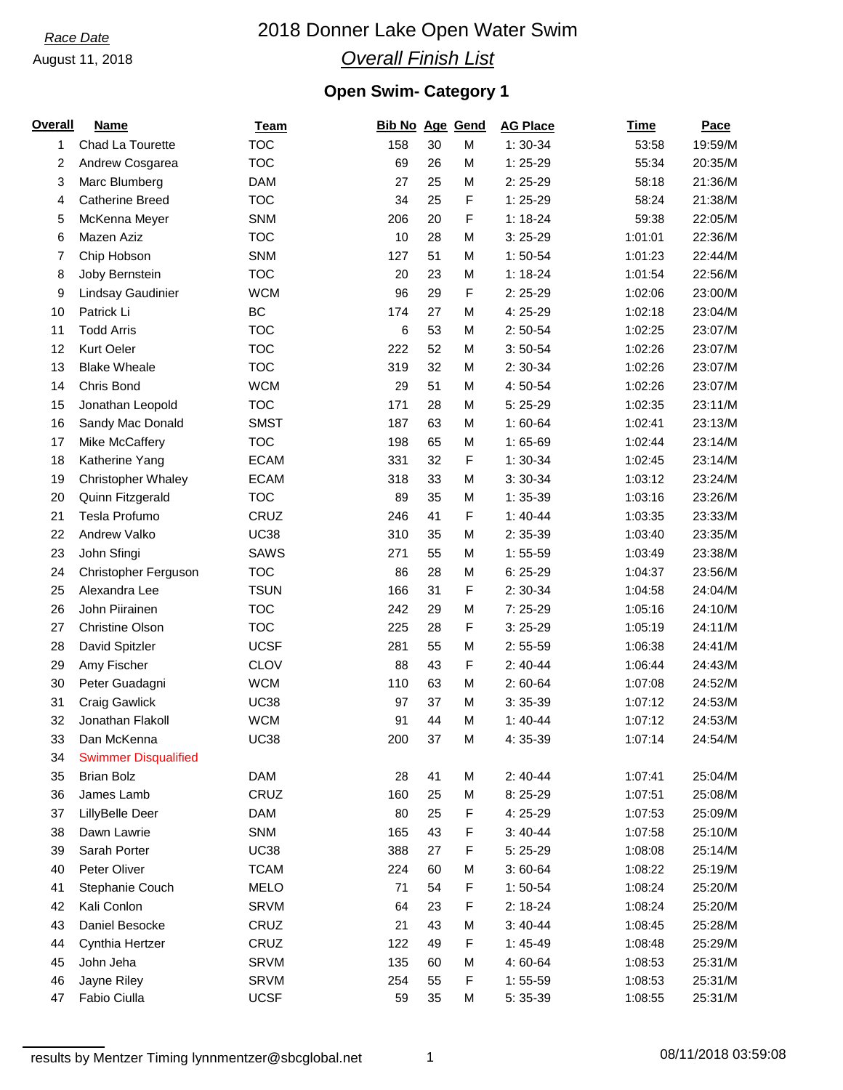#### August 11, 2018

# 2018 Donner Lake Open Water Swim

## *Overall Finish List*

## **Open Swim- Category 1**

| Overall | Name                        | <b>Team</b> | Bib No Age Gend |    |             | <b>AG Place</b> | <b>Time</b> | Pace    |
|---------|-----------------------------|-------------|-----------------|----|-------------|-----------------|-------------|---------|
| 1       | Chad La Tourette            | <b>TOC</b>  | 158             | 30 | M           | $1:30-34$       | 53:58       | 19:59/M |
| 2       | Andrew Cosgarea             | <b>TOC</b>  | 69              | 26 | M           | $1:25-29$       | 55:34       | 20:35/M |
| 3       | Marc Blumberg               | <b>DAM</b>  | 27              | 25 | M           | $2:25-29$       | 58:18       | 21:36/M |
| 4       | <b>Catherine Breed</b>      | <b>TOC</b>  | 34              | 25 | F           | $1:25-29$       | 58:24       | 21:38/M |
| 5       | McKenna Meyer               | SNM         | 206             | 20 | $\mathsf F$ | $1:18-24$       | 59:38       | 22:05/M |
| 6       | Mazen Aziz                  | <b>TOC</b>  | 10              | 28 | M           | $3:25-29$       | 1:01:01     | 22:36/M |
| 7       | Chip Hobson                 | <b>SNM</b>  | 127             | 51 | M           | $1:50-54$       | 1:01:23     | 22:44/M |
| 8       | Joby Bernstein              | <b>TOC</b>  | 20              | 23 | M           | $1:18-24$       | 1:01:54     | 22:56/M |
| 9       | Lindsay Gaudinier           | <b>WCM</b>  | 96              | 29 | F           | $2:25-29$       | 1:02:06     | 23:00/M |
| 10      | Patrick Li                  | <b>BC</b>   | 174             | 27 | M           | 4: 25-29        | 1:02:18     | 23:04/M |
| 11      | <b>Todd Arris</b>           | <b>TOC</b>  | 6               | 53 | M           | $2:50-54$       | 1:02:25     | 23:07/M |
| 12      | Kurt Oeler                  | <b>TOC</b>  | 222             | 52 | M           | $3:50-54$       | 1:02:26     | 23:07/M |
| 13      | <b>Blake Wheale</b>         | <b>TOC</b>  | 319             | 32 | M           | $2:30-34$       | 1:02:26     | 23:07/M |
| 14      | Chris Bond                  | <b>WCM</b>  | 29              | 51 | M           | 4:50-54         | 1:02:26     | 23:07/M |
| 15      | Jonathan Leopold            | <b>TOC</b>  | 171             | 28 | M           | $5:25-29$       | 1:02:35     | 23:11/M |
| 16      | Sandy Mac Donald            | <b>SMST</b> | 187             | 63 | M           | $1:60-64$       | 1:02:41     | 23:13/M |
| 17      | Mike McCaffery              | <b>TOC</b>  | 198             | 65 | M           | $1:65-69$       | 1:02:44     | 23:14/M |
| 18      | Katherine Yang              | <b>ECAM</b> | 331             | 32 | F           | $1:30-34$       | 1:02:45     | 23:14/M |
| 19      | <b>Christopher Whaley</b>   | <b>ECAM</b> | 318             | 33 | M           | $3:30-34$       | 1:03:12     | 23:24/M |
| 20      | Quinn Fitzgerald            | <b>TOC</b>  | 89              | 35 | M           | $1:35-39$       | 1:03:16     | 23:26/M |
| 21      | Tesla Profumo               | CRUZ        | 246             | 41 | $\mathsf F$ | $1:40-44$       | 1:03:35     | 23:33/M |
| 22      | Andrew Valko                | <b>UC38</b> | 310             | 35 | M           | 2:35-39         | 1:03:40     | 23:35/M |
| 23      | John Sfingi                 | <b>SAWS</b> | 271             | 55 | M           | $1:55-59$       | 1:03:49     | 23:38/M |
| 24      | Christopher Ferguson        | <b>TOC</b>  | 86              | 28 | M           | $6:25-29$       | 1:04:37     | 23:56/M |
| 25      | Alexandra Lee               | <b>TSUN</b> | 166             | 31 | F           | $2:30-34$       | 1:04:58     | 24:04/M |
| 26      | John Piirainen              | <b>TOC</b>  | 242             | 29 | M           | $7:25-29$       | 1:05:16     | 24:10/M |
| 27      | <b>Christine Olson</b>      | <b>TOC</b>  | 225             | 28 | F           | $3:25-29$       | 1:05:19     | 24:11/M |
| 28      | David Spitzler              | <b>UCSF</b> | 281             | 55 | M           | $2:55-59$       | 1:06:38     | 24:41/M |
| 29      | Amy Fischer                 | <b>CLOV</b> | 88              | 43 | F           | $2:40-44$       | 1:06:44     | 24:43/M |
| 30      | Peter Guadagni              | <b>WCM</b>  | 110             | 63 | M           | $2:60-64$       | 1:07:08     | 24:52/M |
| 31      | <b>Craig Gawlick</b>        | <b>UC38</b> | 97              | 37 | M           | $3:35-39$       | 1:07:12     | 24:53/M |
| 32      | Jonathan Flakoll            | <b>WCM</b>  | 91              | 44 | M           | $1:40-44$       | 1:07:12     | 24:53/M |
| 33      | Dan McKenna                 | <b>UC38</b> | 200             | 37 | M           | 4: 35-39        | 1:07:14     | 24:54/M |
| 34      | <b>Swimmer Disqualified</b> |             |                 |    |             |                 |             |         |
| 35      | <b>Brian Bolz</b>           | <b>DAM</b>  | 28              | 41 | M           | $2:40-44$       | 1:07:41     | 25:04/M |
| 36      | James Lamb                  | CRUZ        | 160             | 25 | М           | 8:25-29         | 1:07:51     | 25:08/M |
| 37      | LillyBelle Deer             | <b>DAM</b>  | 80              | 25 | F           | 4: 25-29        | 1:07:53     | 25:09/M |
| 38      | Dawn Lawrie                 | <b>SNM</b>  | 165             | 43 | F           | $3:40-44$       | 1:07:58     | 25:10/M |
| 39      | Sarah Porter                | <b>UC38</b> | 388             | 27 | F           | $5:25-29$       | 1:08:08     | 25:14/M |
| 40      | Peter Oliver                | <b>TCAM</b> | 224             | 60 | M           | $3:60-64$       | 1:08:22     | 25:19/M |
| 41      | Stephanie Couch             | <b>MELO</b> | 71              | 54 | F           | $1:50-54$       | 1:08:24     | 25:20/M |
| 42      | Kali Conlon                 | <b>SRVM</b> | 64              | 23 | F           | $2:18-24$       | 1:08:24     | 25:20/M |
| 43      | Daniel Besocke              | CRUZ        | 21              | 43 | M           | $3:40-44$       | 1:08:45     | 25:28/M |
| 44      | Cynthia Hertzer             | CRUZ        | 122             | 49 | F           | $1:45-49$       | 1:08:48     | 25:29/M |
| 45      | John Jeha                   | <b>SRVM</b> | 135             | 60 | M           | 4:60-64         | 1:08:53     | 25:31/M |
| 46      | Jayne Riley                 | <b>SRVM</b> | 254             | 55 | F           | $1:55-59$       | 1:08:53     | 25:31/M |
| 47      | Fabio Ciulla                | <b>UCSF</b> | 59              | 35 | М           | 5: 35-39        | 1:08:55     | 25:31/M |
|         |                             |             |                 |    |             |                 |             |         |

1 08/11/2018 03:59:08 results by Mentzer Timing lynnmentzer@sbcglobal.net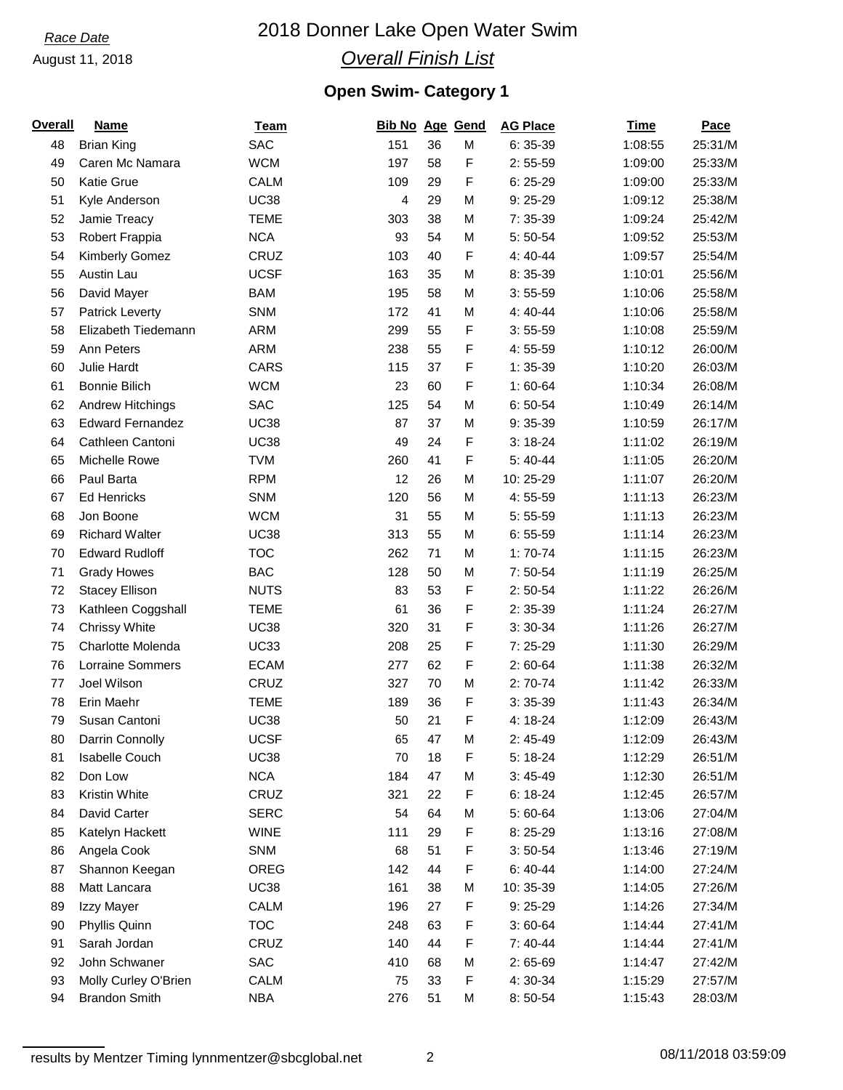#### August 11, 2018

# 2018 Donner Lake Open Water Swim

# *Overall Finish List*

## **Open Swim- Category 1**

| <b>Overall</b> | <b>Name</b>             | <b>Team</b> | Bib No Age Gend |    |           | <b>AG Place</b> | <b>Time</b> | <b>Pace</b> |
|----------------|-------------------------|-------------|-----------------|----|-----------|-----------------|-------------|-------------|
| 48             | <b>Brian King</b>       | <b>SAC</b>  | 151             | 36 | M         | $6:35-39$       | 1:08:55     | 25:31/M     |
| 49             | Caren Mc Namara         | <b>WCM</b>  | 197             | 58 | F         | $2:55-59$       | 1:09:00     | 25:33/M     |
| 50             | <b>Katie Grue</b>       | CALM        | 109             | 29 | F         | $6:25-29$       | 1:09:00     | 25:33/M     |
| 51             | Kyle Anderson           | <b>UC38</b> | 4               | 29 | M         | $9:25-29$       | 1:09:12     | 25:38/M     |
| 52             | Jamie Treacy            | <b>TEME</b> | 303             | 38 | M         | 7:35-39         | 1:09:24     | 25:42/M     |
| 53             | Robert Frappia          | <b>NCA</b>  | 93              | 54 | M         | 5: 50-54        | 1:09:52     | 25:53/M     |
| 54             | Kimberly Gomez          | CRUZ        | 103             | 40 | F         | 4:40-44         | 1:09:57     | 25:54/M     |
| 55             | Austin Lau              | <b>UCSF</b> | 163             | 35 | M         | 8:35-39         | 1:10:01     | 25:56/M     |
| 56             | David Mayer             | <b>BAM</b>  | 195             | 58 | M         | $3:55-59$       | 1:10:06     | 25:58/M     |
| 57             | Patrick Leverty         | SNM         | 172             | 41 | M         | 4:40-44         | 1:10:06     | 25:58/M     |
| 58             | Elizabeth Tiedemann     | <b>ARM</b>  | 299             | 55 | F         | $3:55-59$       | 1:10:08     | 25:59/M     |
| 59             | Ann Peters              | <b>ARM</b>  | 238             | 55 | F         | 4:55-59         | 1:10:12     | 26:00/M     |
| 60             | Julie Hardt             | CARS        | 115             | 37 | F         | $1:35-39$       | 1:10:20     | 26:03/M     |
| 61             | Bonnie Bilich           | <b>WCM</b>  | 23              | 60 | F         | $1:60-64$       | 1:10:34     | 26:08/M     |
| 62             | Andrew Hitchings        | <b>SAC</b>  | 125             | 54 | M         | $6:50-54$       | 1:10:49     | 26:14/M     |
| 63             | <b>Edward Fernandez</b> | <b>UC38</b> | 87              | 37 | M         | 9:35-39         | 1:10:59     | 26:17/M     |
| 64             | Cathleen Cantoni        | <b>UC38</b> | 49              | 24 | F         | $3:18-24$       | 1:11:02     | 26:19/M     |
| 65             | Michelle Rowe           | <b>TVM</b>  | 260             | 41 | F         | $5:40-44$       | 1:11:05     | 26:20/M     |
| 66             | Paul Barta              | <b>RPM</b>  | 12              | 26 | M         | 10:25-29        | 1:11:07     | 26:20/M     |
| 67             | <b>Ed Henricks</b>      | SNM         | 120             | 56 | M         | 4:55-59         | 1:11:13     | 26:23/M     |
| 68             | Jon Boone               | <b>WCM</b>  | 31              | 55 | M         | $5:55-59$       | 1:11:13     | 26:23/M     |
| 69             | <b>Richard Walter</b>   | <b>UC38</b> | 313             | 55 | M         | $6:55-59$       | 1:11:14     | 26:23/M     |
| 70             | <b>Edward Rudloff</b>   | <b>TOC</b>  | 262             | 71 | M         | $1:70-74$       | 1:11:15     | 26:23/M     |
| 71             | <b>Grady Howes</b>      | <b>BAC</b>  | 128             | 50 | M         | $7:50-54$       | 1:11:19     | 26:25/M     |
| 72             | <b>Stacey Ellison</b>   | <b>NUTS</b> | 83              | 53 | F         | $2:50-54$       | 1:11:22     | 26:26/M     |
| 73             | Kathleen Coggshall      | <b>TEME</b> | 61              | 36 | F         | $2:35-39$       | 1:11:24     | 26:27/M     |
| 74             | Chrissy White           | <b>UC38</b> | 320             | 31 | F         | $3:30-34$       | 1:11:26     | 26:27/M     |
| 75             | Charlotte Molenda       | <b>UC33</b> | 208             | 25 | F         | $7:25-29$       | 1:11:30     | 26:29/M     |
| 76             | Lorraine Sommers        | <b>ECAM</b> | 277             | 62 | F         | $2:60-64$       | 1:11:38     | 26:32/M     |
| 77             | Joel Wilson             | CRUZ        | 327             | 70 | M         | $2:70-74$       | 1:11:42     | 26:33/M     |
| 78             | Erin Maehr              | <b>TEME</b> | 189             | 36 | F         | $3:35-39$       | 1:11:43     | 26:34/M     |
| 79             | Susan Cantoni           | <b>UC38</b> | 50              | 21 | F         | 4:18-24         | 1:12:09     | 26:43/M     |
| 80             | Darrin Connolly         | <b>UCSF</b> | 65              | 47 | ${\sf M}$ | $2:45-49$       | 1:12:09     | 26:43/M     |
| 81             | <b>Isabelle Couch</b>   | <b>UC38</b> | 70              | 18 | F         | $5:18-24$       | 1:12:29     | 26:51/M     |
| 82             | Don Low                 | <b>NCA</b>  | 184             | 47 | M         | $3:45-49$       | 1:12:30     | 26:51/M     |
| 83             | Kristin White           | CRUZ        | 321             | 22 | F         | $6:18-24$       | 1:12:45     | 26:57/M     |
| 84             | David Carter            | <b>SERC</b> | 54              | 64 | M         | 5:60-64         | 1:13:06     | 27:04/M     |
| 85             | Katelyn Hackett         | <b>WINE</b> | 111             | 29 | F         | 8:25-29         | 1:13:16     | 27:08/M     |
| 86             | Angela Cook             | <b>SNM</b>  | 68              | 51 | F         | $3:50-54$       | 1:13:46     | 27:19/M     |
| 87             | Shannon Keegan          | OREG        | 142             | 44 | F         | $6:40-44$       | 1:14:00     | 27:24/M     |
| 88             | Matt Lancara            | <b>UC38</b> | 161             | 38 | M         | 10:35-39        | 1:14:05     | 27:26/M     |
| 89             | Izzy Mayer              | CALM        | 196             | 27 | F         | $9:25-29$       | 1:14:26     | 27:34/M     |
| 90             | Phyllis Quinn           | <b>TOC</b>  | 248             | 63 | F         | $3:60-64$       | 1:14:44     | 27:41/M     |
| 91             | Sarah Jordan            | CRUZ        | 140             | 44 | F         | $7:40-44$       | 1:14:44     | 27:41/M     |
| 92             | John Schwaner           | SAC         | 410             | 68 | M         | 2:65-69         | 1:14:47     | 27:42/M     |
| 93             | Molly Curley O'Brien    | CALM        | 75              | 33 | F         | 4:30-34         | 1:15:29     | 27:57/M     |
| 94             | <b>Brandon Smith</b>    | <b>NBA</b>  | 276             | 51 | M         | 8:50-54         | 1:15:43     | 28:03/M     |

2 08/11/2018 03:59:09 results by Mentzer Timing lynnmentzer@sbcglobal.net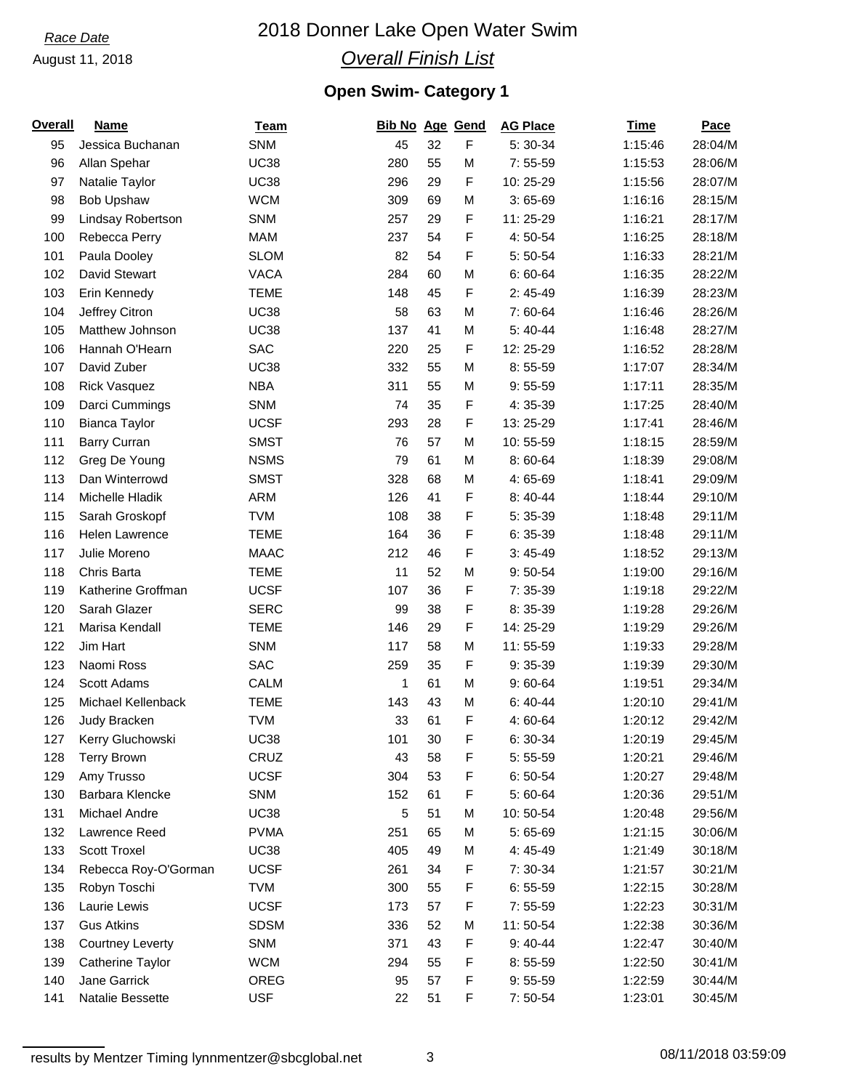#### August 11, 2018

# 2018 Donner Lake Open Water Swim

## *Overall Finish List*

## **Open Swim- Category 1**

| <b>Overall</b> | <b>Name</b>             | <b>Team</b> | Bib No Age Gend |    |   | <b>AG Place</b> | Time    | Pace    |
|----------------|-------------------------|-------------|-----------------|----|---|-----------------|---------|---------|
| 95             | Jessica Buchanan        | <b>SNM</b>  | 45              | 32 | F | 5:30-34         | 1:15:46 | 28:04/M |
| 96             | Allan Spehar            | <b>UC38</b> | 280             | 55 | M | $7:55-59$       | 1:15:53 | 28:06/M |
| 97             | Natalie Taylor          | <b>UC38</b> | 296             | 29 | F | 10:25-29        | 1:15:56 | 28:07/M |
| 98             | <b>Bob Upshaw</b>       | <b>WCM</b>  | 309             | 69 | M | $3:65-69$       | 1:16:16 | 28:15/M |
| 99             | Lindsay Robertson       | <b>SNM</b>  | 257             | 29 | F | 11:25-29        | 1:16:21 | 28:17/M |
| 100            | Rebecca Perry           | <b>MAM</b>  | 237             | 54 | F | 4:50-54         | 1:16:25 | 28:18/M |
| 101            | Paula Dooley            | <b>SLOM</b> | 82              | 54 | F | $5:50-54$       | 1:16:33 | 28:21/M |
| 102            | David Stewart           | <b>VACA</b> | 284             | 60 | M | $6:60-64$       | 1:16:35 | 28:22/M |
| 103            | Erin Kennedy            | <b>TEME</b> | 148             | 45 | F | $2:45-49$       | 1:16:39 | 28:23/M |
| 104            | Jeffrey Citron          | <b>UC38</b> | 58              | 63 | М | 7:60-64         | 1:16:46 | 28:26/M |
| 105            | Matthew Johnson         | <b>UC38</b> | 137             | 41 | M | $5:40-44$       | 1:16:48 | 28:27/M |
| 106            | Hannah O'Hearn          | <b>SAC</b>  | 220             | 25 | F | 12: 25-29       | 1:16:52 | 28:28/M |
| 107            | David Zuber             | <b>UC38</b> | 332             | 55 | M | $8:55-59$       | 1:17:07 | 28:34/M |
| 108            | <b>Rick Vasquez</b>     | <b>NBA</b>  | 311             | 55 | M | $9:55-59$       | 1:17:11 | 28:35/M |
| 109            | Darci Cummings          | <b>SNM</b>  | 74              | 35 | F | 4:35-39         | 1:17:25 | 28:40/M |
| 110            | <b>Bianca Taylor</b>    | <b>UCSF</b> | 293             | 28 | F | 13:25-29        | 1:17:41 | 28:46/M |
| 111            | <b>Barry Curran</b>     | <b>SMST</b> | 76              | 57 | M | 10:55-59        | 1:18:15 | 28:59/M |
| 112            | Greg De Young           | <b>NSMS</b> | 79              | 61 | M | 8:60-64         | 1:18:39 | 29:08/M |
| 113            | Dan Winterrowd          | <b>SMST</b> | 328             | 68 | M | 4:65-69         | 1:18:41 | 29:09/M |
| 114            | Michelle Hladik         | <b>ARM</b>  | 126             | 41 | F | $8:40-44$       | 1:18:44 | 29:10/M |
| 115            | Sarah Groskopf          | <b>TVM</b>  | 108             | 38 | F | 5:35-39         | 1:18:48 | 29:11/M |
| 116            | Helen Lawrence          | <b>TEME</b> | 164             | 36 | F | $6:35-39$       | 1:18:48 | 29:11/M |
| 117            | Julie Moreno            | <b>MAAC</b> | 212             | 46 | F | $3:45-49$       | 1:18:52 | 29:13/M |
| 118            | Chris Barta             | <b>TEME</b> | 11              | 52 | M | $9:50 - 54$     | 1:19:00 | 29:16/M |
| 119            | Katherine Groffman      | <b>UCSF</b> | 107             | 36 | F | 7:35-39         | 1:19:18 | 29:22/M |
| 120            | Sarah Glazer            | <b>SERC</b> | 99              | 38 | F | 8:35-39         | 1:19:28 | 29:26/M |
| 121            | Marisa Kendall          | <b>TEME</b> | 146             | 29 | F | 14: 25-29       | 1:19:29 | 29:26/M |
| 122            | Jim Hart                | SNM         | 117             | 58 | M | 11:55-59        |         | 29:28/M |
|                | Naomi Ross              | <b>SAC</b>  |                 |    |   |                 | 1:19:33 |         |
| 123            |                         |             | 259             | 35 | F | 9:35-39         | 1:19:39 | 29:30/M |
| 124            | Scott Adams             | CALM        | 1               | 61 | M | $9:60-64$       | 1:19:51 | 29:34/M |
| 125            | Michael Kellenback      | <b>TEME</b> | 143             | 43 | M | $6:40-44$       | 1:20:10 | 29:41/M |
| 126            | Judy Bracken            | <b>TVM</b>  | 33              | 61 | F | 4:60-64         | 1:20:12 | 29:42/M |
| 127            | Kerry Gluchowski        | <b>UC38</b> | 101             | 30 | F | $6:30-34$       | 1:20:19 | 29:45/M |
| 128            | <b>Terry Brown</b>      | CRUZ        | 43              | 58 | F | $5:55-59$       | 1:20:21 | 29:46/M |
| 129            | Amy Trusso              | <b>UCSF</b> | 304             | 53 | F | $6:50-54$       | 1:20:27 | 29:48/M |
| 130            | Barbara Klencke         | SNM         | 152             | 61 | F | 5:60-64         | 1:20:36 | 29:51/M |
| 131            | Michael Andre           | <b>UC38</b> | 5               | 51 | M | 10:50-54        | 1:20:48 | 29:56/M |
| 132            | Lawrence Reed           | <b>PVMA</b> | 251             | 65 | M | 5:65-69         | 1:21:15 | 30:06/M |
| 133            | Scott Troxel            | <b>UC38</b> | 405             | 49 | M | 4:45-49         | 1:21:49 | 30:18/M |
| 134            | Rebecca Roy-O'Gorman    | <b>UCSF</b> | 261             | 34 | F | 7:30-34         | 1:21:57 | 30:21/M |
| 135            | Robyn Toschi            | <b>TVM</b>  | 300             | 55 | F | $6:55-59$       | 1:22:15 | 30:28/M |
| 136            | Laurie Lewis            | <b>UCSF</b> | 173             | 57 | F | $7:55-59$       | 1:22:23 | 30:31/M |
| 137            | <b>Gus Atkins</b>       | <b>SDSM</b> | 336             | 52 | M | 11:50-54        | 1:22:38 | 30:36/M |
| 138            | <b>Courtney Leverty</b> | SNM         | 371             | 43 | F | $9:40-44$       | 1:22:47 | 30:40/M |
| 139            | Catherine Taylor        | <b>WCM</b>  | 294             | 55 | F | $8:55-59$       | 1:22:50 | 30:41/M |
| 140            | Jane Garrick            | OREG        | 95              | 57 | F | $9:55-59$       | 1:22:59 | 30:44/M |
| 141            | Natalie Bessette        | <b>USF</b>  | 22              | 51 | F | $7:50-54$       | 1:23:01 | 30:45/M |

3 08/11/2018 03:59:09 results by Mentzer Timing lynnmentzer@sbcglobal.net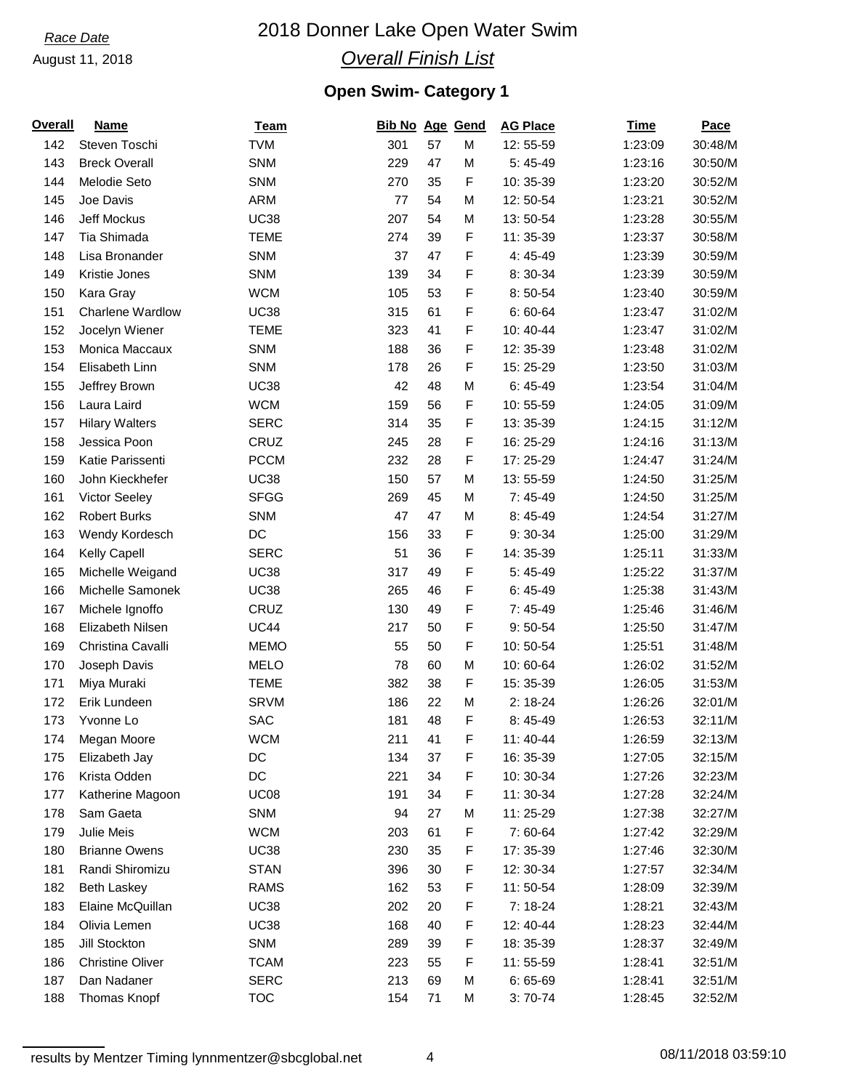#### August 11, 2018

# 2018 Donner Lake Open Water Swim

## *Overall Finish List*

## **Open Swim- Category 1**

| <u>Overall</u> | <b>Name</b>             | <b>Team</b> | Bib No Age Gend |    |             | <b>AG Place</b> | Time    | <b>Pace</b> |
|----------------|-------------------------|-------------|-----------------|----|-------------|-----------------|---------|-------------|
| 142            | Steven Toschi           | <b>TVM</b>  | 301             | 57 | M           | 12:55-59        | 1:23:09 | 30:48/M     |
| 143            | <b>Breck Overall</b>    | SNM         | 229             | 47 | M           | $5:45-49$       | 1:23:16 | 30:50/M     |
| 144            | Melodie Seto            | <b>SNM</b>  | 270             | 35 | F           | 10: 35-39       | 1:23:20 | 30:52/M     |
| 145            | Joe Davis               | <b>ARM</b>  | 77              | 54 | M           | 12:50-54        | 1:23:21 | 30:52/M     |
| 146            | Jeff Mockus             | <b>UC38</b> | 207             | 54 | M           | 13:50-54        | 1:23:28 | 30:55/M     |
| 147            | Tia Shimada             | <b>TEME</b> | 274             | 39 | F           | 11: 35-39       | 1:23:37 | 30:58/M     |
| 148            | Lisa Bronander          | <b>SNM</b>  | 37              | 47 | F           | 4:45-49         | 1:23:39 | 30:59/M     |
| 149            | Kristie Jones           | <b>SNM</b>  | 139             | 34 | F           | 8:30-34         | 1:23:39 | 30:59/M     |
| 150            | Kara Gray               | <b>WCM</b>  | 105             | 53 | F           | 8:50-54         | 1:23:40 | 30:59/M     |
| 151            | <b>Charlene Wardlow</b> | <b>UC38</b> | 315             | 61 | F           | $6:60-64$       | 1:23:47 | 31:02/M     |
| 152            | Jocelyn Wiener          | <b>TEME</b> | 323             | 41 | F           | 10:40-44        | 1:23:47 | 31:02/M     |
| 153            | Monica Maccaux          | SNM         | 188             | 36 | F           | 12: 35-39       | 1:23:48 | 31:02/M     |
| 154            | Elisabeth Linn          | <b>SNM</b>  | 178             | 26 | F           | 15: 25-29       | 1:23:50 | 31:03/M     |
| 155            | Jeffrey Brown           | <b>UC38</b> | 42              | 48 | M           | $6:45-49$       | 1:23:54 | 31:04/M     |
| 156            | Laura Laird             | <b>WCM</b>  | 159             | 56 | F           | 10:55-59        | 1:24:05 | 31:09/M     |
| 157            | <b>Hilary Walters</b>   | <b>SERC</b> | 314             | 35 | F           | 13: 35-39       | 1:24:15 | 31:12/M     |
| 158            | Jessica Poon            | CRUZ        | 245             | 28 | F           | 16: 25-29       | 1:24:16 | 31:13/M     |
| 159            | Katie Parissenti        | <b>PCCM</b> | 232             | 28 | F           | 17: 25-29       | 1:24:47 | 31:24/M     |
| 160            | John Kieckhefer         | <b>UC38</b> | 150             | 57 | M           | 13:55-59        | 1:24:50 | 31:25/M     |
| 161            | Victor Seeley           | <b>SFGG</b> | 269             | 45 | M           | 7:45-49         | 1:24:50 | 31:25/M     |
| 162            | <b>Robert Burks</b>     | <b>SNM</b>  | 47              | 47 | M           | 8:45-49         | 1:24:54 | 31:27/M     |
| 163            | Wendy Kordesch          | DC          | 156             | 33 | F           | 9:30-34         | 1:25:00 | 31:29/M     |
| 164            | Kelly Capell            | <b>SERC</b> | 51              | 36 | F           | 14: 35-39       | 1:25:11 | 31:33/M     |
| 165            | Michelle Weigand        | <b>UC38</b> | 317             | 49 | F           | $5:45-49$       | 1:25:22 | 31:37/M     |
| 166            | Michelle Samonek        | <b>UC38</b> | 265             | 46 | F           | $6:45-49$       | 1:25:38 | 31:43/M     |
| 167            | Michele Ignoffo         | CRUZ        | 130             | 49 | F           | $7:45-49$       | 1:25:46 | 31:46/M     |
| 168            | Elizabeth Nilsen        | <b>UC44</b> | 217             | 50 | F           | $9:50 - 54$     | 1:25:50 | 31:47/M     |
| 169            | Christina Cavalli       | <b>MEMO</b> | 55              | 50 | F           | 10:50-54        | 1:25:51 | 31:48/M     |
| 170            | Joseph Davis            | <b>MELO</b> | 78              | 60 | M           | 10:60-64        | 1:26:02 | 31:52/M     |
| 171            | Miya Muraki             | <b>TEME</b> | 382             | 38 | F           | 15: 35-39       | 1:26:05 | 31:53/M     |
| 172            | Erik Lundeen            | <b>SRVM</b> | 186             | 22 | M           | $2:18-24$       | 1:26:26 | 32:01/M     |
| 173            | Yvonne Lo               | <b>SAC</b>  | 181             | 48 | F           | 8:45-49         | 1:26:53 | 32:11/M     |
| 174            | Megan Moore             | <b>WCM</b>  | 211             | 41 | $\mathsf F$ | 11: 40-44       | 1:26:59 | 32:13/M     |
| 175            | Elizabeth Jay           | DC          | 134             | 37 | F           | 16: 35-39       | 1:27:05 | 32:15/M     |
| 176            | Krista Odden            | DC          | 221             | 34 | F           | 10: 30-34       | 1:27:26 | 32:23/M     |
| 177            | Katherine Magoon        | <b>UC08</b> | 191             | 34 | F           | 11: 30-34       | 1:27:28 | 32:24/M     |
| 178            | Sam Gaeta               | <b>SNM</b>  | 94              | 27 | M           | 11:25-29        | 1:27:38 | 32:27/M     |
| 179            | Julie Meis              | <b>WCM</b>  | 203             | 61 | F           | 7:60-64         | 1:27:42 | 32:29/M     |
| 180            | <b>Brianne Owens</b>    | <b>UC38</b> | 230             | 35 | F           | 17: 35-39       | 1:27:46 | 32:30/M     |
| 181            | Randi Shiromizu         | <b>STAN</b> | 396             | 30 | F           | 12: 30-34       | 1:27:57 | 32:34/M     |
| 182            | <b>Beth Laskey</b>      | <b>RAMS</b> | 162             | 53 | F           | 11:50-54        | 1:28:09 | 32:39/M     |
| 183            | Elaine McQuillan        | <b>UC38</b> | 202             | 20 | F           | $7:18-24$       | 1:28:21 | 32:43/M     |
| 184            | Olivia Lemen            | <b>UC38</b> | 168             | 40 | F           | 12: 40-44       | 1:28:23 | 32:44/M     |
| 185            | Jill Stockton           | <b>SNM</b>  | 289             | 39 | F           | 18: 35-39       | 1:28:37 | 32:49/M     |
| 186            | <b>Christine Oliver</b> | <b>TCAM</b> | 223             | 55 | F           | 11:55-59        | 1:28:41 | 32:51/M     |
| 187            | Dan Nadaner             | <b>SERC</b> | 213             | 69 | M           | $6:65-69$       | 1:28:41 | 32:51/M     |
| 188            | Thomas Knopf            | <b>TOC</b>  | 154             | 71 | M           | $3:70-74$       | 1:28:45 | 32:52/M     |
|                |                         |             |                 |    |             |                 |         |             |

4 08/11/2018 03:59:10 results by Mentzer Timing lynnmentzer@sbcglobal.net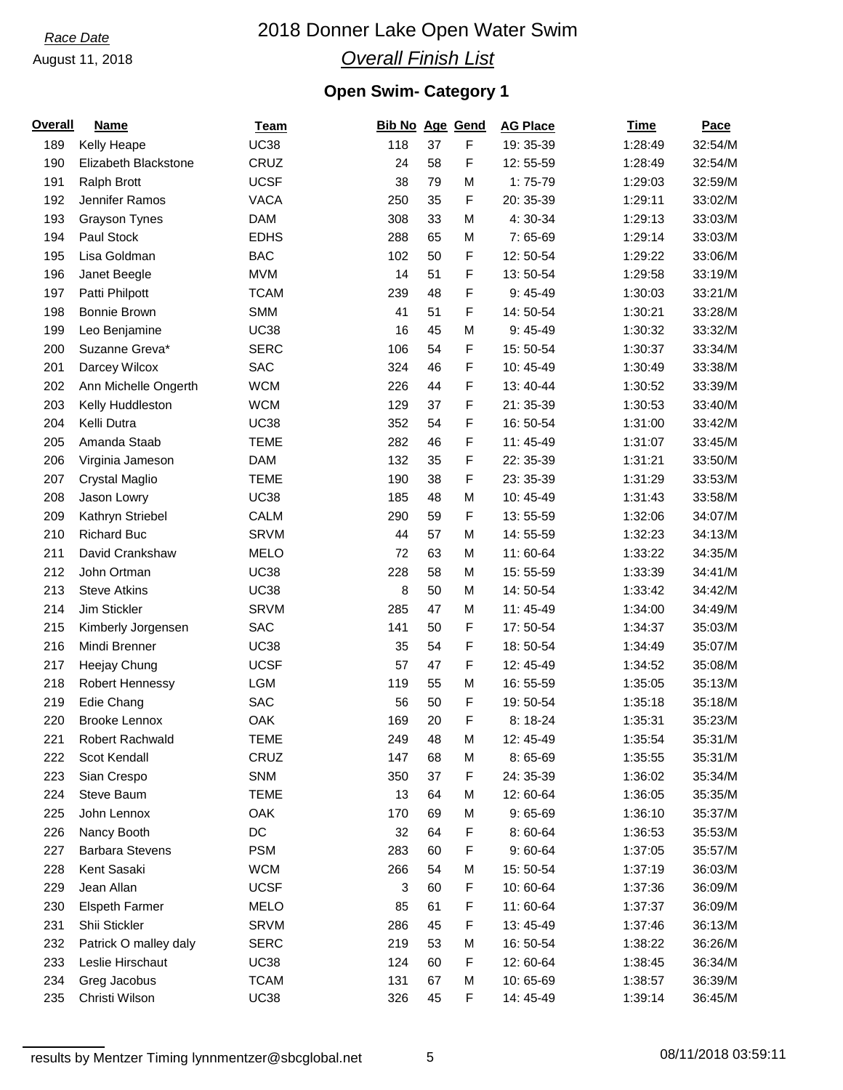#### August 11, 2018

# 2018 Donner Lake Open Water Swim

## *Overall Finish List*

## **Open Swim- Category 1**

| <b>Overall</b> | <b>Name</b>            | <u>Team</u> | Bib No Age Gend |          |           | <b>AG Place</b> | Time    | Pace    |
|----------------|------------------------|-------------|-----------------|----------|-----------|-----------------|---------|---------|
| 189            | Kelly Heape            | <b>UC38</b> | 118             | 37       | F         | 19: 35-39       | 1:28:49 | 32:54/M |
| 190            | Elizabeth Blackstone   | CRUZ        | 24              | 58       | F         | 12:55-59        | 1:28:49 | 32:54/M |
| 191            | Ralph Brott            | <b>UCSF</b> | 38              | 79       | M         | $1:75-79$       | 1:29:03 | 32:59/M |
| 192            | Jennifer Ramos         | <b>VACA</b> | 250             | 35       | F         | 20: 35-39       | 1:29:11 | 33:02/M |
| 193            | Grayson Tynes          | <b>DAM</b>  | 308             | 33       | M         | 4:30-34         | 1:29:13 | 33:03/M |
| 194            | Paul Stock             | <b>EDHS</b> | 288             | 65       | M         | 7:65-69         | 1:29:14 | 33:03/M |
| 195            | Lisa Goldman           | <b>BAC</b>  | 102             | 50       | F         | 12:50-54        | 1:29:22 | 33:06/M |
| 196            | Janet Beegle           | <b>MVM</b>  | 14              | 51       | F         | 13:50-54        | 1:29:58 | 33:19/M |
| 197            | Patti Philpott         | <b>TCAM</b> | 239             | 48       | F         | $9:45-49$       | 1:30:03 | 33:21/M |
| 198            | Bonnie Brown           | <b>SMM</b>  | 41              | 51       | F         | 14:50-54        | 1:30:21 | 33:28/M |
| 199            | Leo Benjamine          | <b>UC38</b> | 16              | 45       | M         | $9:45-49$       | 1:30:32 | 33:32/M |
| 200            | Suzanne Greva*         | <b>SERC</b> | 106             | 54       | F         | 15: 50-54       | 1:30:37 | 33:34/M |
| 201            | Darcey Wilcox          | <b>SAC</b>  | 324             | 46       | F         | 10:45-49        | 1:30:49 | 33:38/M |
| 202            | Ann Michelle Ongerth   | <b>WCM</b>  | 226             | 44       | F         | 13:40-44        | 1:30:52 | 33:39/M |
| 203            | Kelly Huddleston       | <b>WCM</b>  | 129             | 37       | F         | 21: 35-39       | 1:30:53 | 33:40/M |
| 204            | Kelli Dutra            | <b>UC38</b> | 352             | 54       | F         | 16: 50-54       | 1:31:00 | 33:42/M |
| 205            | Amanda Staab           | <b>TEME</b> | 282             | 46       | F         | 11:45-49        | 1:31:07 | 33:45/M |
| 206            | Virginia Jameson       | <b>DAM</b>  | 132             | 35       | F         | 22: 35-39       | 1:31:21 | 33:50/M |
| 207            | Crystal Maglio         | <b>TEME</b> | 190             | 38       | F         | 23: 35-39       | 1:31:29 | 33:53/M |
| 208            | Jason Lowry            | <b>UC38</b> | 185             | 48       | M         | 10:45-49        | 1:31:43 | 33:58/M |
| 209            | Kathryn Striebel       | CALM        | 290             | 59       | F         | 13:55-59        | 1:32:06 | 34:07/M |
| 210            | <b>Richard Buc</b>     | <b>SRVM</b> | 44              | 57       | M         | 14:55-59        | 1:32:23 | 34:13/M |
| 211            | David Crankshaw        | <b>MELO</b> | 72              | 63       | M         | 11:60-64        | 1:33:22 | 34:35/M |
| 212            | John Ortman            | <b>UC38</b> | 228             | 58       | M         | 15: 55-59       | 1:33:39 | 34:41/M |
| 213            | <b>Steve Atkins</b>    | <b>UC38</b> | 8               | 50       | M         | 14:50-54        | 1:33:42 | 34:42/M |
| 214            | Jim Stickler           | <b>SRVM</b> | 285             | 47       | M         | 11:45-49        | 1:34:00 | 34:49/M |
| 215            | Kimberly Jorgensen     | <b>SAC</b>  | 141             | 50       | F         | 17:50-54        | 1:34:37 | 35:03/M |
| 216            | Mindi Brenner          | <b>UC38</b> | 35              | 54       | F         | 18:50-54        | 1:34:49 | 35:07/M |
| 217            | Heejay Chung           | <b>UCSF</b> | 57              | 47       | F         | 12: 45-49       | 1:34:52 | 35:08/M |
| 218            | Robert Hennessy        | LGM         | 119             | 55       | M         | 16: 55-59       | 1:35:05 | 35:13/M |
| 219            |                        | <b>SAC</b>  | 56              | 50       | F         | 19:50-54        | 1:35:18 | 35:18/M |
|                | Edie Chang             | OAK         |                 |          | F         |                 | 1:35:31 | 35:23/M |
| 220            | Brooke Lennox          | <b>TEME</b> | 169             | 20<br>48 |           | 8:18-24         |         |         |
| 221            | Robert Rachwald        |             | 249             |          | ${\sf M}$ | 12: 45-49       | 1:35:54 | 35:31/M |
| 222            | Scot Kendall           | CRUZ        | 147             | 68       | М         | $8:65-69$       | 1:35:55 | 35:31/M |
| 223            | Sian Crespo            | <b>SNM</b>  | 350             | 37       | F         | 24: 35-39       | 1:36:02 | 35:34/M |
| 224            | Steve Baum             | <b>TEME</b> | 13              | 64       | M         | 12:60-64        | 1:36:05 | 35:35/M |
| 225            | John Lennox            | OAK         | 170             | 69       | M         | $9:65-69$       | 1:36:10 | 35:37/M |
| 226            | Nancy Booth            | DC          | 32              | 64       | F         | 8:60-64         | 1:36:53 | 35:53/M |
| 227            | <b>Barbara Stevens</b> | <b>PSM</b>  | 283             | 60       | F         | $9:60-64$       | 1:37:05 | 35:57/M |
| 228            | Kent Sasaki            | <b>WCM</b>  | 266             | 54       | M         | 15:50-54        | 1:37:19 | 36:03/M |
| 229            | Jean Allan             | <b>UCSF</b> | 3               | 60       | F         | 10:60-64        | 1:37:36 | 36:09/M |
| 230            | <b>Elspeth Farmer</b>  | <b>MELO</b> | 85              | 61       | F         | 11:60-64        | 1:37:37 | 36:09/M |
| 231            | Shii Stickler          | <b>SRVM</b> | 286             | 45       | F         | 13:45-49        | 1:37:46 | 36:13/M |
| 232            | Patrick O malley daly  | <b>SERC</b> | 219             | 53       | M         | 16: 50-54       | 1:38:22 | 36:26/M |
| 233            | Leslie Hirschaut       | <b>UC38</b> | 124             | 60       | F         | 12:60-64        | 1:38:45 | 36:34/M |
| 234            | Greg Jacobus           | <b>TCAM</b> | 131             | 67       | M         | 10:65-69        | 1:38:57 | 36:39/M |
| 235            | Christi Wilson         | <b>UC38</b> | 326             | 45       | F         | 14: 45-49       | 1:39:14 | 36:45/M |

5 08/11/2018 03:59:11 results by Mentzer Timing lynnmentzer@sbcglobal.net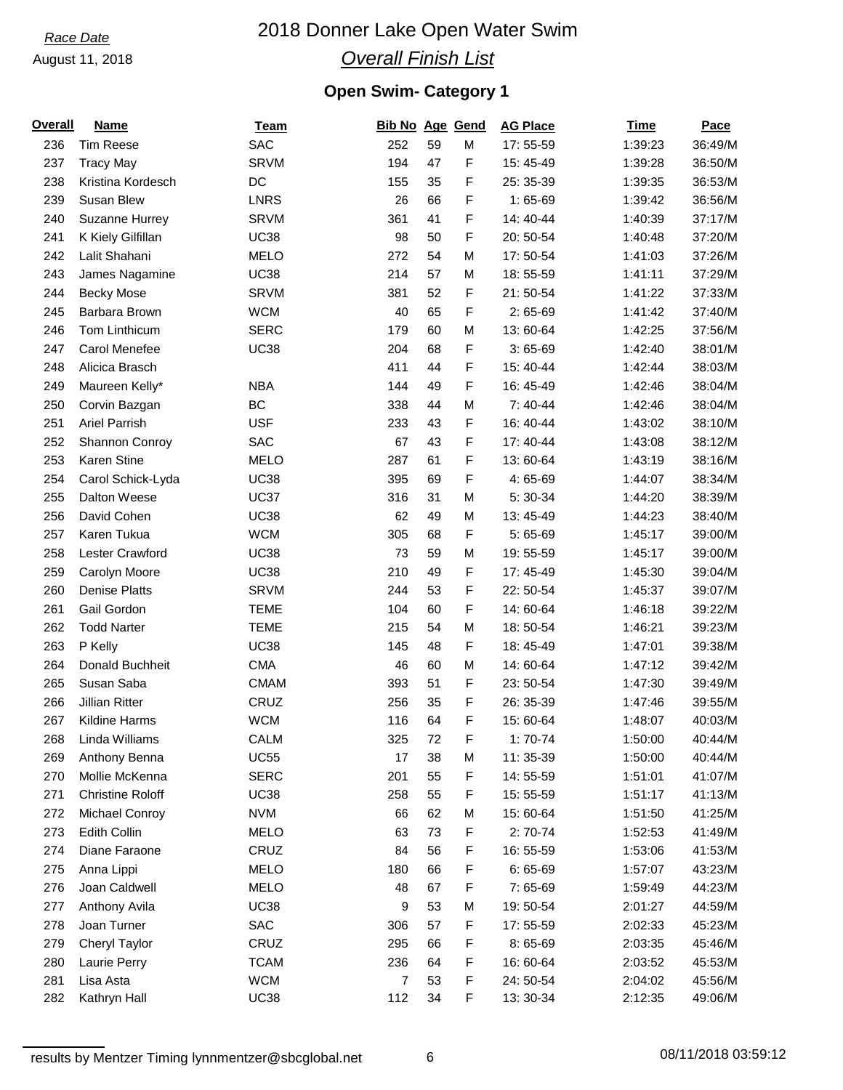#### August 11, 2018

# 2018 Donner Lake Open Water Swim

## *Overall Finish List*

## **Open Swim- Category 1**

| <b>Overall</b> | <b>Name</b>             | <b>Team</b> | <b>Bib No Age Gend</b> |    |   | <b>AG Place</b> | <b>Time</b> | Pace    |
|----------------|-------------------------|-------------|------------------------|----|---|-----------------|-------------|---------|
| 236            | <b>Tim Reese</b>        | <b>SAC</b>  | 252                    | 59 | M | 17:55-59        | 1:39:23     | 36:49/M |
| 237            | <b>Tracy May</b>        | <b>SRVM</b> | 194                    | 47 | F | 15: 45-49       | 1:39:28     | 36:50/M |
| 238            | Kristina Kordesch       | DC          | 155                    | 35 | F | 25: 35-39       | 1:39:35     | 36:53/M |
| 239            | Susan Blew              | <b>LNRS</b> | 26                     | 66 | F | $1:65-69$       | 1:39:42     | 36:56/M |
| 240            | Suzanne Hurrey          | <b>SRVM</b> | 361                    | 41 | F | 14: 40-44       | 1:40:39     | 37:17/M |
| 241            | K Kiely Gilfillan       | <b>UC38</b> | 98                     | 50 | F | 20: 50-54       | 1:40:48     | 37:20/M |
| 242            | Lalit Shahani           | <b>MELO</b> | 272                    | 54 | M | 17:50-54        | 1:41:03     | 37:26/M |
| 243            | James Nagamine          | <b>UC38</b> | 214                    | 57 | M | 18:55-59        | 1:41:11     | 37:29/M |
| 244            | <b>Becky Mose</b>       | <b>SRVM</b> | 381                    | 52 | F | 21:50-54        | 1:41:22     | 37:33/M |
| 245            | Barbara Brown           | <b>WCM</b>  | 40                     | 65 | F | $2:65-69$       | 1:41:42     | 37:40/M |
| 246            | Tom Linthicum           | <b>SERC</b> | 179                    | 60 | M | 13:60-64        | 1:42:25     | 37:56/M |
| 247            | Carol Menefee           | <b>UC38</b> | 204                    | 68 | F | $3:65-69$       | 1:42:40     | 38:01/M |
| 248            | Alicica Brasch          |             | 411                    | 44 | F | 15: 40-44       | 1:42:44     | 38:03/M |
| 249            | Maureen Kelly*          | <b>NBA</b>  | 144                    | 49 | F | 16: 45-49       | 1:42:46     | 38:04/M |
| 250            | Corvin Bazgan           | <b>BC</b>   | 338                    | 44 | M | $7:40-44$       | 1:42:46     | 38:04/M |
| 251            | <b>Ariel Parrish</b>    | <b>USF</b>  | 233                    | 43 | F | 16: 40-44       | 1:43:02     | 38:10/M |
| 252            | Shannon Conroy          | <b>SAC</b>  | 67                     | 43 | F | 17: 40-44       | 1:43:08     | 38:12/M |
| 253            | Karen Stine             | <b>MELO</b> | 287                    | 61 | F | 13:60-64        | 1:43:19     | 38:16/M |
| 254            | Carol Schick-Lyda       | <b>UC38</b> | 395                    | 69 | F | 4:65-69         | 1:44:07     | 38:34/M |
| 255            | Dalton Weese            | <b>UC37</b> | 316                    | 31 | M | $5:30-34$       | 1:44:20     | 38:39/M |
| 256            | David Cohen             | <b>UC38</b> | 62                     | 49 | M | 13:45-49        | 1:44:23     | 38:40/M |
| 257            | Karen Tukua             | <b>WCM</b>  | 305                    | 68 | F | $5:65-69$       | 1:45:17     | 39:00/M |
| 258            | Lester Crawford         | <b>UC38</b> | 73                     | 59 | M | 19:55-59        | 1:45:17     | 39:00/M |
| 259            | Carolyn Moore           | <b>UC38</b> | 210                    | 49 | F | 17: 45-49       | 1:45:30     | 39:04/M |
| 260            | <b>Denise Platts</b>    | <b>SRVM</b> | 244                    | 53 | F | 22: 50-54       | 1:45:37     | 39:07/M |
| 261            | Gail Gordon             | <b>TEME</b> | 104                    | 60 | F | 14: 60-64       | 1:46:18     | 39:22/M |
| 262            | <b>Todd Narter</b>      | <b>TEME</b> | 215                    | 54 | M | 18:50-54        | 1:46:21     | 39:23/M |
| 263            |                         | <b>UC38</b> | 145                    | 48 | F | 18:45-49        |             | 39:38/M |
|                | P Kelly                 |             |                        |    |   |                 | 1:47:01     |         |
| 264            | Donald Buchheit         | <b>CMA</b>  | 46                     | 60 | M | 14: 60-64       | 1:47:12     | 39:42/M |
| 265            | Susan Saba              | <b>CMAM</b> | 393                    | 51 | F | 23:50-54        | 1:47:30     | 39:49/M |
| 266            | <b>Jillian Ritter</b>   | CRUZ        | 256                    | 35 | F | 26: 35-39       | 1:47:46     | 39:55/M |
| 267            | Kildine Harms           | <b>WCM</b>  | 116                    | 64 | F | 15:60-64        | 1:48:07     | 40:03/M |
| 268            | Linda Williams          | CALM        | 325                    | 72 | F | $1:70-74$       | 1:50:00     | 40:44/M |
| 269            | Anthony Benna           | <b>UC55</b> | 17                     | 38 | M | 11: 35-39       | 1:50:00     | 40:44/M |
| 270            | Mollie McKenna          | <b>SERC</b> | 201                    | 55 | F | 14:55-59        | 1:51:01     | 41:07/M |
| 271            | <b>Christine Roloff</b> | <b>UC38</b> | 258                    | 55 | F | 15: 55-59       | 1:51:17     | 41:13/M |
| 272            | Michael Conroy          | <b>NVM</b>  | 66                     | 62 | M | 15:60-64        | 1:51:50     | 41:25/M |
| 273            | Edith Collin            | <b>MELO</b> | 63                     | 73 | F | $2:70-74$       | 1:52:53     | 41:49/M |
| 274            | Diane Faraone           | CRUZ        | 84                     | 56 | F | 16: 55-59       | 1:53:06     | 41:53/M |
| 275            | Anna Lippi              | <b>MELO</b> | 180                    | 66 | F | $6:65-69$       | 1:57:07     | 43:23/M |
| 276            | Joan Caldwell           | <b>MELO</b> | 48                     | 67 | F | 7:65-69         | 1:59:49     | 44:23/M |
| 277            | Anthony Avila           | <b>UC38</b> | 9                      | 53 | M | 19:50-54        | 2:01:27     | 44:59/M |
| 278            | Joan Turner             | <b>SAC</b>  | 306                    | 57 | F | 17:55-59        | 2:02:33     | 45:23/M |
| 279            | Cheryl Taylor           | CRUZ        | 295                    | 66 | F | 8:65-69         | 2:03:35     | 45:46/M |
| 280            | Laurie Perry            | <b>TCAM</b> | 236                    | 64 | F | 16: 60-64       | 2:03:52     | 45:53/M |
| 281            | Lisa Asta               | <b>WCM</b>  | 7                      | 53 | F | 24: 50-54       | 2:04:02     | 45:56/M |
| 282            | Kathryn Hall            | <b>UC38</b> | 112                    | 34 | F | 13: 30-34       | 2:12:35     | 49:06/M |

6 08/11/2018 03:59:12 results by Mentzer Timing lynnmentzer@sbcglobal.net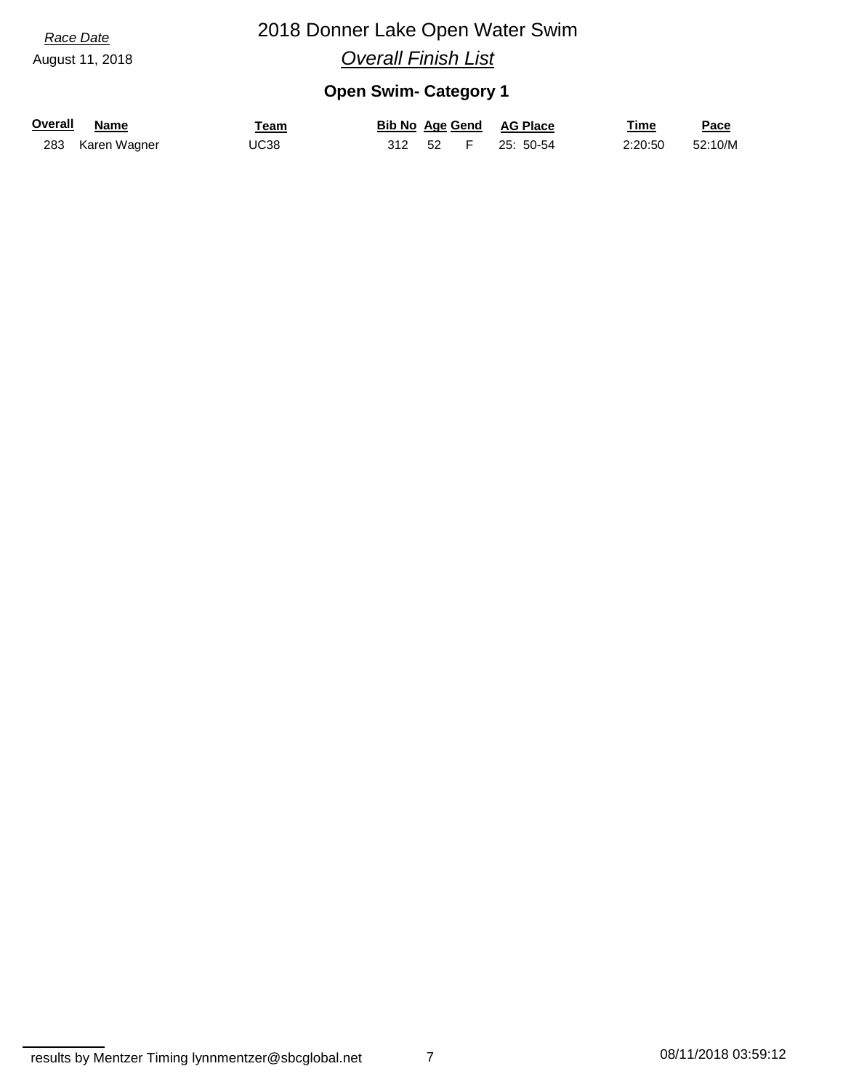August 11, 2018

# 2018 Donner Lake Open Water Swim

*Overall Finish List*

## **Open Swim- Category 1**

| <b>Overall</b> | <b>Name</b>      | ⊺eam |          |  | <b>Bib No Age Gend AG Place</b> | Time    | Pace    |
|----------------|------------------|------|----------|--|---------------------------------|---------|---------|
|                | 283 Karen Wagner | UC38 | 312 52 F |  | 25: 50-54                       | 2:20:50 | 52:10/M |

7 08/11/2018 03:59:12 results by Mentzer Timing lynnmentzer@sbcglobal.net